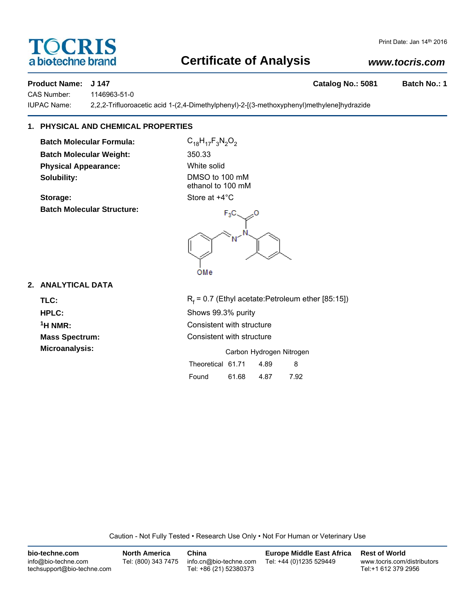# TOCRIS a biotechne brand

# **Certificate of Analysis**

# *www.tocris.com*

## **Product Name: J 147 Catalog No.: 5081 Batch No.: 1**

CAS Number: 1146963-51-0

IUPAC Name: 2,2,2-Trifluoroacetic acid 1-(2,4-Dimethylphenyl)-2-[(3-methoxyphenyl)methylene]hydrazide

# **1. PHYSICAL AND CHEMICAL PROPERTIES**

**Batch Molecular Formula:** C<sub>18</sub>H<sub>17</sub>F<sub>3</sub>N<sub>2</sub>O<sub>2</sub> **Batch Molecular Weight:** 350.33 **Physical Appearance:** White solid **Solubility:** DMSO to 100 mM

**Storage:** Store at  $+4^{\circ}$ C **Batch Molecular Structure:**

ethanol to 100 mM

OMe

**2. ANALYTICAL DATA**

TLC: R<sub>f</sub>

 $R_f$  = 0.7 (Ethyl acetate:Petroleum ether [85:15]) **HPLC:** Shows 99.3% purity **1H NMR:** Consistent with structure **Mass Spectrum:** Consistent with structure **Microanalysis:** Microanalysis: **Carbon Hydrogen Nitrogen** Theoretical 61.71 4.89 8

Found 61.68 4.87 7.92

Caution - Not Fully Tested • Research Use Only • Not For Human or Veterinary Use

| bio-techne.com                                    | North America       | China                                            | <b>Europe Middle East Africa</b> | <b>Rest of World</b>                               |
|---------------------------------------------------|---------------------|--------------------------------------------------|----------------------------------|----------------------------------------------------|
| info@bio-techne.com<br>techsupport@bio-techne.com | Tel: (800) 343 7475 | info.cn@bio-techne.com<br>Tel: +86 (21) 52380373 | Tel: +44 (0)1235 529449          | www.tocris.com/distributors<br>Tel:+1 612 379 2956 |